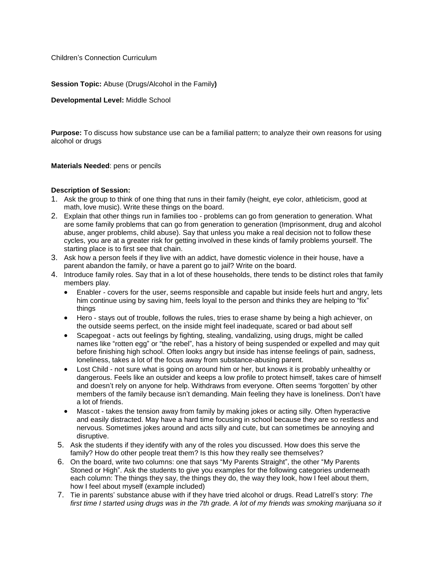Children's Connection Curriculum

**Session Topic:** Abuse (Drugs/Alcohol in the Family**)**

**Developmental Level:** Middle School

**Purpose:** To discuss how substance use can be a familial pattern; to analyze their own reasons for using alcohol or drugs

**Materials Needed**: pens or pencils

## **Description of Session:**

- 1. Ask the group to think of one thing that runs in their family (height, eye color, athleticism, good at math, love music). Write these things on the board.
- 2. Explain that other things run in families too problems can go from generation to generation. What are some family problems that can go from generation to generation (Imprisonment, drug and alcohol abuse, anger problems, child abuse). Say that unless you make a real decision not to follow these cycles, you are at a greater risk for getting involved in these kinds of family problems yourself. The starting place is to first see that chain.
- 3. Ask how a person feels if they live with an addict, have domestic violence in their house, have a parent abandon the family, or have a parent go to jail? Write on the board.
- 4. Introduce family roles. Say that in a lot of these households, there tends to be distinct roles that family members play.
	- Enabler covers for the user, seems responsible and capable but inside feels hurt and angry, lets him continue using by saving him, feels loyal to the person and thinks they are helping to "fix" things
	- Hero stays out of trouble, follows the rules, tries to erase shame by being a high achiever, on the outside seems perfect, on the inside might feel inadequate, scared or bad about self
	- Scapegoat acts out feelings by fighting, stealing, vandalizing, using drugs, might be called names like "rotten egg" or "the rebel", has a history of being suspended or expelled and may quit before finishing high school. Often looks angry but inside has intense feelings of pain, sadness, loneliness, takes a lot of the focus away from substance-abusing parent.
	- Lost Child not sure what is going on around him or her, but knows it is probably unhealthy or dangerous. Feels like an outsider and keeps a low profile to protect himself, takes care of himself and doesn't rely on anyone for help. Withdraws from everyone. Often seems 'forgotten' by other members of the family because isn't demanding. Main feeling they have is loneliness. Don't have a lot of friends.
	- Mascot takes the tension away from family by making jokes or acting silly. Often hyperactive and easily distracted. May have a hard time focusing in school because they are so restless and nervous. Sometimes jokes around and acts silly and cute, but can sometimes be annoying and disruptive.
	- 5. Ask the students if they identify with any of the roles you discussed. How does this serve the family? How do other people treat them? Is this how they really see themselves?
	- 6. On the board, write two columns: one that says "My Parents Straight", the other "My Parents Stoned or High". Ask the students to give you examples for the following categories underneath each column: The things they say, the things they do, the way they look, how I feel about them, how I feel about myself (example included)
	- 7. Tie in parents' substance abuse with if they have tried alcohol or drugs. Read Latrell's story: *The* first time I started using drugs was in the 7th grade. A lot of my friends was smoking marijuana so it